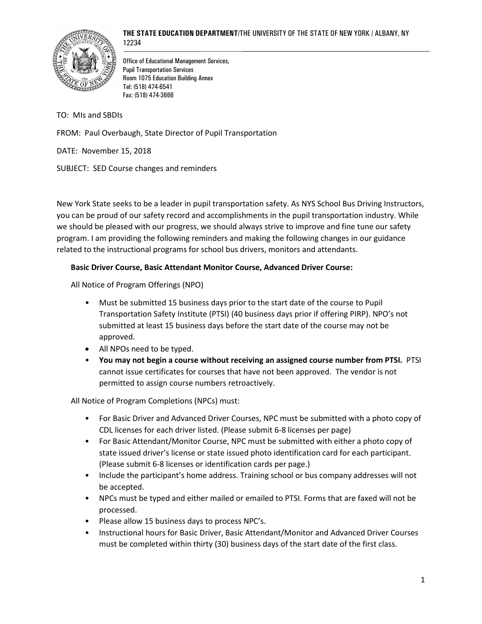



Office of Educational Management Services, Pupil Transportation Services Room 1075 Education Building Annex Tel: (518) 474-6541 Fax: (518) 474-3666

TO: MIs and SBDIs

FROM: Paul Overbaugh, State Director of Pupil Transportation

DATE: November 15, 2018

SUBJECT: SED Course changes and reminders

New York State seeks to be a leader in pupil transportation safety. As NYS School Bus Driving Instructors, you can be proud of our safety record and accomplishments in the pupil transportation industry. While we should be pleased with our progress, we should always strive to improve and fine tune our safety program. I am providing the following reminders and making the following changes in our guidance related to the instructional programs for school bus drivers, monitors and attendants.

## **Basic Driver Course, Basic Attendant Monitor Course, Advanced Driver Course:**

All Notice of Program Offerings (NPO)

- Must be submitted 15 business days prior to the start date of the course to Pupil Transportation Safety Institute (PTSI) (40 business days prior if offering PIRP). NPO's not submitted at least 15 business days before the start date of the course may not be approved.
- All NPOs need to be typed.
- **You may not begin a course without receiving an assigned course number from PTSI.** PTSI cannot issue certificates for courses that have not been approved. The vendor is not permitted to assign course numbers retroactively.

All Notice of Program Completions (NPCs) must:

- For Basic Driver and Advanced Driver Courses, NPC must be submitted with a photo copy of CDL licenses for each driver listed. (Please submit 6-8 licenses per page)
- For Basic Attendant/Monitor Course, NPC must be submitted with either a photo copy of state issued driver's license or state issued photo identification card for each participant. (Please submit 6-8 licenses or identification cards per page.)
- Include the participant's home address. Training school or bus company addresses will not be accepted.
- NPCs must be typed and either mailed or emailed to PTSI. Forms that are faxed will not be processed.
- Please allow 15 business days to process NPC's.
- Instructional hours for Basic Driver, Basic Attendant/Monitor and Advanced Driver Courses must be completed within thirty (30) business days of the start date of the first class.